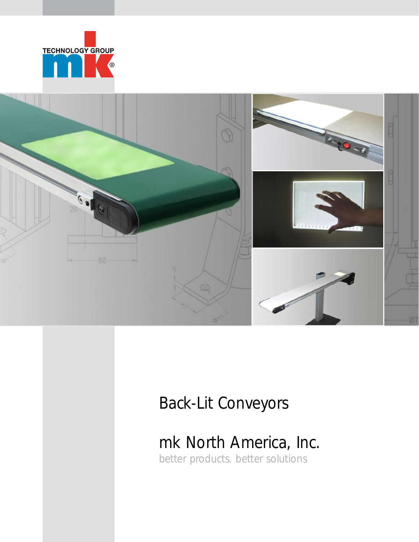



### Back-Lit Conveyors

mk North America, Inc.

better products. better solutions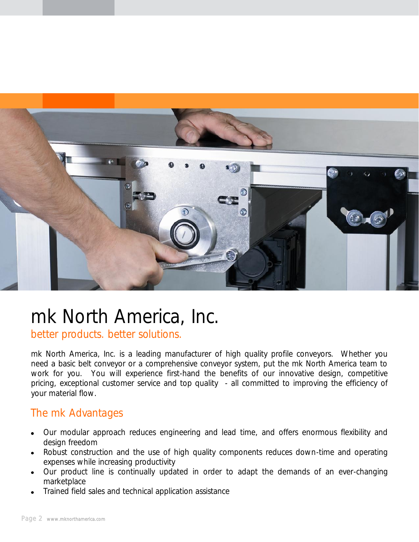

# mk North America, Inc.

better products. better solutions.

mk North America, Inc. is a leading manufacturer of high quality profile conveyors. Whether you need a basic belt conveyor or a comprehensive conveyor system, put the mk North America team to work for you. You will experience first-hand the benefits of our innovative design, competitive pricing, exceptional customer service and top quality - all committed to improving the efficiency of your material flow.

### The mk Advantages

- Our modular approach reduces engineering and lead time, and offers enormous flexibility and  $\bullet$ design freedom
- Robust construction and the use of high quality components reduces down-time and operating  $\bullet$ expenses while increasing productivity
- Our product line is continually updated in order to adapt the demands of an ever-changing  $\bullet$ marketplace
- Trained field sales and technical application assistance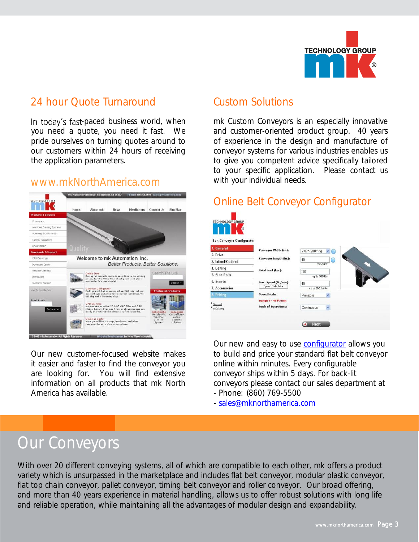

### 24 hour Quote Turnaround

In today's fast-paced business world, when you need a quote, you need it fast. We pride ourselves on turning quotes around to our customers within 24 hours of receiving the application parameters.

### [www.mkNorthAmerica.com](http://www.mknorthamerica.com)



Our new customer-focused website makes it easier and faster to find the conveyor you are looking for. You will find extensive information on all products that mk North America has available.

### Custom Solutions

mk Custom Conveyors is an especially innovative and customer-oriented product group. 40 years of experience in the design and manufacture of conveyor systems for various industries enables us to give you competent advice specifically tailored to your specific application. Please contact us with your individual needs.

### Online Belt Conveyor Configurator

| <b>TECHNOLOGY GROUP</b><br><b>Belt Conveyor Configurator</b> |                                                   |                         |  |
|--------------------------------------------------------------|---------------------------------------------------|-------------------------|--|
| 1. General                                                   | Conveyor Width (in.):                             | 7.87* (200mm)<br>м<br>œ |  |
| 2. Drive                                                     |                                                   |                         |  |
| 3. Infeed/Outfeed                                            | Conveyor Length (in.):                            | 40<br>63                |  |
| 4. Belting                                                   |                                                   | 24'-360"                |  |
| 5. Side Rails                                                | Total Load (lbs.):                                | 100                     |  |
| 6. Stands                                                    |                                                   | up to 300 lbs           |  |
|                                                              | Max. Speed (ft./min):<br>Speed Calculator         | 40                      |  |
| 7. Accessories                                               |                                                   | up to 260 ft/min        |  |
| <b>8. Pricing</b>                                            | <b>Speed Mode:</b>                                | Variable                |  |
| Support<br>e-Catalog                                         | Range 4 - 40 ft/min<br><b>Mode of Operations:</b> | Continuous<br>Y         |  |
|                                                              |                                                   | <b>Next</b>             |  |

Our new and easy to use [configurator](http://www.mknorthamerica.com/config/start.php) allows you to build and price your standard flat belt conveyor online within minutes. Every configurable conveyor ships within 5 days. For back-lit conveyors please contact our sales department at - Phone: (860) 769-5500

- [sales@mknorthamerica.com](mailto:sales@mknorthamerica.com?subject=Back-Lit%20conveyor)

### Our Conveyors

With over 20 different conveying systems, all of which are compatible to each other, mk offers a product variety which is unsurpassed in the marketplace and includes flat belt conveyor, modular plastic conveyor, flat top chain conveyor, pallet conveyor, timing belt conveyor and roller conveyor. Our broad offering, and more than 40 years experience in material handling, allows us to offer robust solutions with long life and reliable operation, while maintaining all the advantages of modular design and expandability.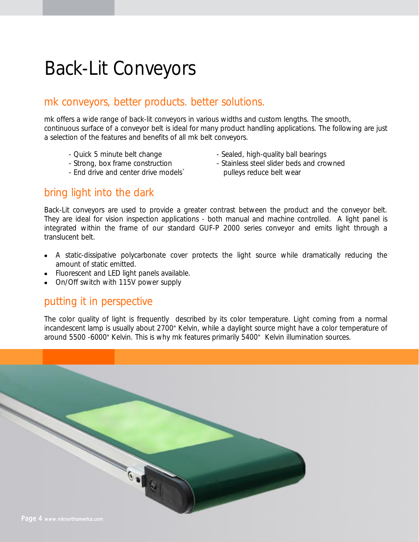# Back-Lit Conveyors

### mk conveyors, better products. better solutions.

mk offers a wide range of back-lit conveyors in various widths and custom lengths. The smooth, continuous surface of a conveyor belt is ideal for many product handling applications. The following are just a selection of the features and benefits of all mk belt conveyors.

- 
- 
- End drive and center drive models` pulleys reduce belt wear
- Quick 5 minute belt change Sealed, high-quality ball bearings
- Strong, box frame construction Stainless steel slider beds and crowned

### bring light into the dark

Back-Lit conveyors are used to provide a greater contrast between the product and the conveyor belt. They are ideal for vision inspection applications - both manual and machine controlled. A light panel is integrated within the frame of our standard GUF-P 2000 series conveyor and emits light through a translucent belt.

- A static-dissipative polycarbonate cover protects the light source while dramatically reducing the amount of static emitted.
- Fluorescent and LED light panels available.
- On/Off switch with 115V power supply

### putting it in perspective

The color quality of light is frequently described by its color temperature. Light coming from a normal incandescent lamp is usually about 2700° Kelvin, while a daylight source might have a color temperature of around 5500 -6000° Kelvin. This is why mk features primarily 5400° Kelvin illumination sources.

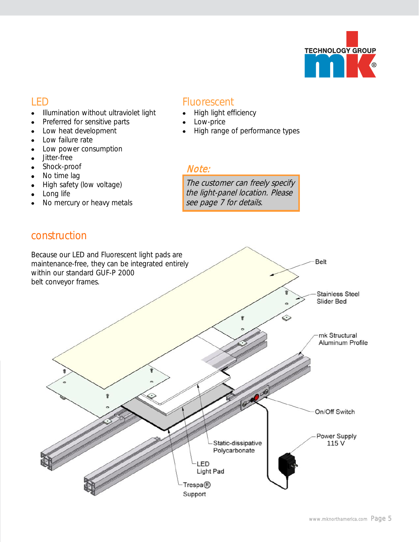

### LED

- $\bullet$ Illumination without ultraviolet light
- Preferred for sensitive parts  $\bullet$
- Low heat development  $\bullet$
- Low failure rate  $\bullet$
- Low power consumption  $\bullet$
- Jitter-free  $\bullet$
- Shock-proof  $\bullet$
- No time lag  $\bullet$
- High safety (low voltage)  $\bullet$
- Long life  $\bullet$
- No mercury or heavy metals  $\bullet$

### construction

#### **Fluorescent**

- $\bullet$ High light efficiency
	- Low-price
	- High range of performance types

#### Note:

The customer can freely specify the light-panel location. Please see page 7 for details.

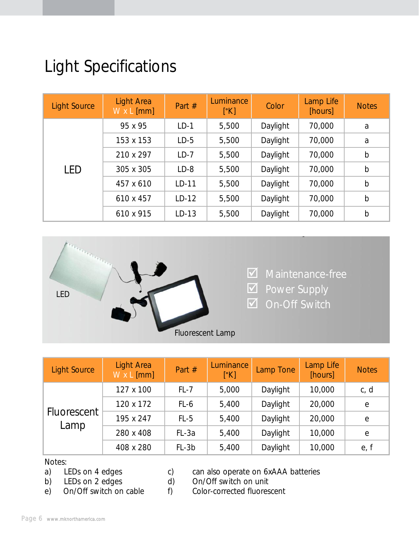## Light Specifications

| <b>Light Source</b> | Light Area<br>$W \times L$ [mm] | Part #  | Luminance<br>[°K] | Color    | Lamp Life<br>[hours] | <b>Notes</b> |
|---------------------|---------------------------------|---------|-------------------|----------|----------------------|--------------|
|                     | 95 x 95                         | $LD-1$  | 5,500             | Daylight | 70,000               | a            |
|                     | 153 x 153                       | $LD-5$  | 5,500             | Daylight | 70,000               | a            |
|                     | 210 x 297                       | $LD-7$  | 5,500             | Daylight | 70,000               | $\mathsf b$  |
| <b>LED</b>          | 305 x 305                       | $LD-8$  | 5,500             | Daylight | 70,000               | $\mathsf b$  |
|                     | 457 x 610                       | $LD-11$ | 5,500             | Daylight | 70,000               | $\mathsf b$  |
|                     | 610 x 457                       | $LD-12$ | 5,500             | Daylight | 70,000               | $\mathsf b$  |
|                     | 610 x 915                       | $LD-13$ | 5,500             | Daylight | 70,000               | $\mathsf b$  |



| <b>Light Source</b> | <b>Light Area</b><br>W x L [mm] | Part #  | Luminance<br>[°K] | Lamp Tone | Lamp Life<br>[hours] | <b>Notes</b> |
|---------------------|---------------------------------|---------|-------------------|-----------|----------------------|--------------|
|                     | 127 x 100                       | $FL-7$  | 5,000             | Daylight  | 10,000               | c, d         |
| Fluorescent<br>Lamp | 120 x 172                       | FL-6    | 5,400             | Daylight  | 20,000               | e            |
|                     | 195 x 247                       | $FL-5$  | 5,400             | Daylight  | 20,000               | е            |
|                     | 280 x 408                       | FL-3a   | 5,400             | Daylight  | 10,000               | e            |
|                     | 408 x 280                       | $FL-3b$ | 5,400             | Daylight  | 10,000               | e, f         |

- Notes:<br>a) LEDs on 4 edges
- 
- 

a) LEDs on 4 edges c) can also operate on 6xAAA batteries<br>b) LEDs on 2 edges d) On/Off switch on unit

b) LEDs on 2 edges d) On/Off switch on unit<br>
e) On/Off switch on cable f) Color-corrected fluores

e) On/Off switch on cable f) Color-corrected fluorescent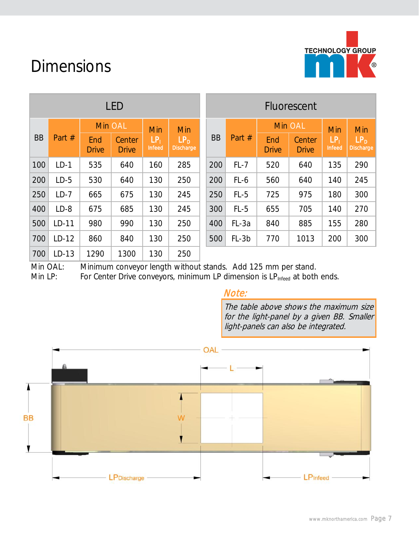

### Dimensions

| <b>LED</b> |                       |                     |                        |                           |                                     | Fluorescent |        |                     |                        |                           |                                   |     |
|------------|-----------------------|---------------------|------------------------|---------------------------|-------------------------------------|-------------|--------|---------------------|------------------------|---------------------------|-----------------------------------|-----|
|            | Min OAL<br>Min<br>Min |                     |                        |                           | Min OAL                             |             | Min    | Min                 |                        |                           |                                   |     |
| <b>BB</b>  | Part $#$              | End<br><b>Drive</b> | Center<br><b>Drive</b> | LP <sub>1</sub><br>Infeed | LP <sub>D</sub><br><b>Discharge</b> | <b>BB</b>   | Part # | End<br><b>Drive</b> | Center<br><b>Drive</b> | LP <sub>1</sub><br>Infeed | LP <sub>D</sub><br><b>Dischar</b> |     |
| 100        | $LD-1$                | 535                 | 640                    | 160                       | 285                                 |             | 200    | $FL-7$              | 520                    | 640                       | 135                               | 290 |
| 200        | $LD-5$                | 530                 | 640                    | 130                       | 250                                 |             | 200    | FL-6                | 560                    | 640                       | 140                               | 245 |
| 250        | $LD-7$                | 665                 | 675                    | 130                       | 245                                 |             | 250    | $FL-5$              | 725                    | 975                       | 180                               | 300 |
| 400        | $LD-8$                | 675                 | 685                    | 130                       | 245                                 |             | 300    | $FL-5$              | 655                    | 705                       | 140                               | 270 |
| 500        | $LD-11$               | 980                 | 990                    | 130                       | 250                                 |             | 400    | FL-3a               | 840                    | 885                       | 155                               | 280 |
| 700        | $LD-12$               | 860                 | 840                    | 130                       | 250                                 |             | 500    | $FL-3b$             | 770                    | 1013                      | 200                               | 300 |
| 700        | $LD-13$               | 1290                | 1300                   | 130                       | 250                                 |             |        |                     |                        |                           |                                   |     |

| I FD                   |                         |                                     | Fluorescent           |         |                     |                        |                         |                                     |  |
|------------------------|-------------------------|-------------------------------------|-----------------------|---------|---------------------|------------------------|-------------------------|-------------------------------------|--|
| n OAL                  | Min                     | Min                                 |                       |         | <b>Min OAL</b>      |                        | Min                     | Min                                 |  |
| Center<br><b>Drive</b> | $LP_1$<br><b>Infeed</b> | LP <sub>D</sub><br><b>Discharge</b> | <b>BB</b><br>Part $#$ |         | End<br><b>Drive</b> | Center<br><b>Drive</b> | $LP_1$<br><b>Infeed</b> | LP <sub>D</sub><br><b>Discharge</b> |  |
| 640                    | 160                     | 285                                 | 200                   | $FL-7$  | 520                 | 640                    | 135                     | 290                                 |  |
| 640                    | 130                     | 250                                 | 200                   | FL-6    | 560                 | 640                    | 140                     | 245                                 |  |
| 675                    | 130                     | 245                                 | 250                   | $FL-5$  | 725                 | 975                    | 180                     | 300                                 |  |
| 685                    | 130                     | 245                                 | 300                   | $FL-5$  | 655                 | 705                    | 140                     | 270                                 |  |
| 990                    | 130                     | 250                                 | 400                   | FL-3a   | 840                 | 885                    | 155                     | 280                                 |  |
| 840                    | 130                     | 250                                 | 500                   | $FL-3b$ | 770                 | 1013                   | 200                     | 300                                 |  |

Min OAL: Minimum conveyor length without stands. Add 125 mm per stand.

Min LP: For Center Drive conveyors, minimum LP dimension is LP<sub>Infeed</sub> at both ends.

#### Note:

The table above shows the maximum size for the light-panel by a given BB. Smaller light-panels can also be integrated.

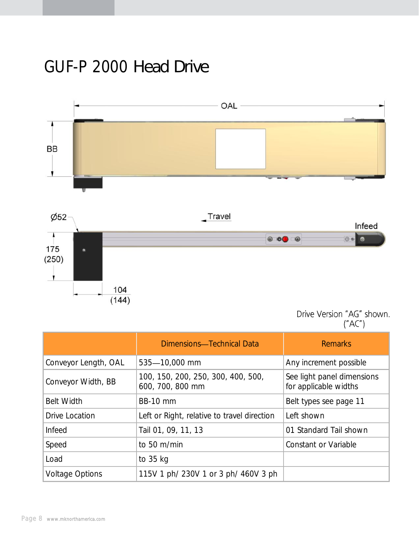### GUF-P 2000 *Head Drive*



Drive Version "AG" shown.<br>("AC")

|                        | Dimensions-Technical Data                              | <b>Remarks</b>                                      |
|------------------------|--------------------------------------------------------|-----------------------------------------------------|
| Conveyor Length, OAL   | 535-10,000 mm                                          | Any increment possible                              |
| Conveyor Width, BB     | 100, 150, 200, 250, 300, 400, 500,<br>600, 700, 800 mm | See light panel dimensions<br>for applicable widths |
| <b>Belt Width</b>      | <b>BB-10 mm</b>                                        | Belt types see page 11                              |
| Drive Location         | Left or Right, relative to travel direction            | Left shown                                          |
| Infeed                 | Tail 01, 09, 11, 13                                    | 01 Standard Tail shown                              |
| Speed                  | to 50 m/min                                            | Constant or Variable                                |
| Load                   | to 35 kg                                               |                                                     |
| <b>Voltage Options</b> | 115V 1 ph/ 230V 1 or 3 ph/ 460V 3 ph                   |                                                     |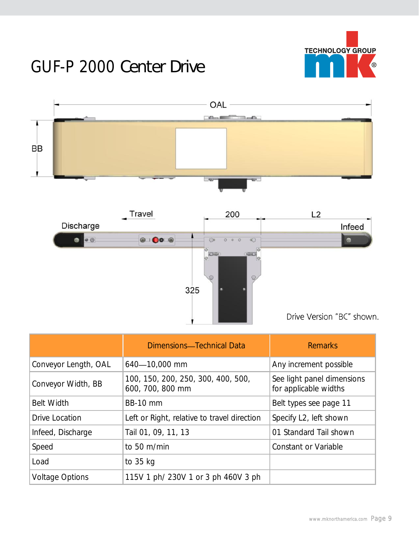

## GUF-P 2000 *Center Drive*





|                        | Dimensions-Technical Data                              | <b>Remarks</b>                                      |
|------------------------|--------------------------------------------------------|-----------------------------------------------------|
| Conveyor Length, OAL   | 640-10,000 mm                                          | Any increment possible                              |
| Conveyor Width, BB     | 100, 150, 200, 250, 300, 400, 500,<br>600, 700, 800 mm | See light panel dimensions<br>for applicable widths |
| <b>Belt Width</b>      | <b>BB-10 mm</b>                                        | Belt types see page 11                              |
| Drive Location         | Left or Right, relative to travel direction            | Specify L2, left shown                              |
| Infeed, Discharge      | Tail 01, 09, 11, 13                                    | 01 Standard Tail shown                              |
| Speed                  | to 50 m/min                                            | Constant or Variable                                |
| Load                   | to 35 kg                                               |                                                     |
| <b>Voltage Options</b> | 115V 1 ph/ 230V 1 or 3 ph 460V 3 ph                    |                                                     |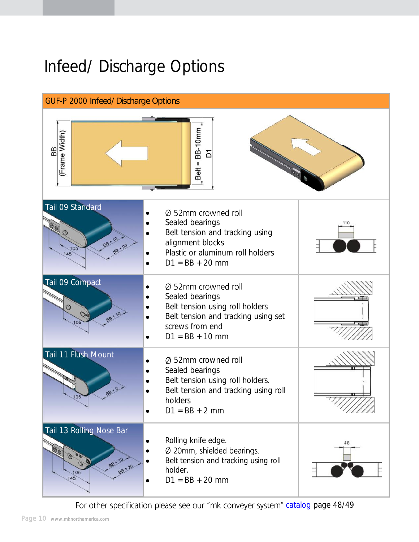## Infeed/ Discharge Options



For other specification please see our "mk conveyer system" [catalog](http://www.mknorthamerica.com/catalogs/conveyor_catalog/flash.htm#/48/) page 48/49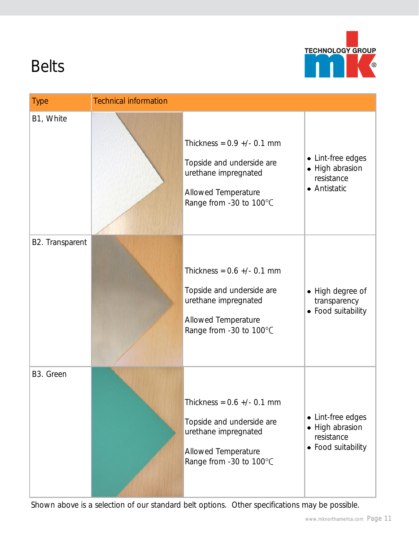

# Belts

| <b>Type</b>     | <b>Technical information</b> |                                                                                                                                       |                                                                          |
|-----------------|------------------------------|---------------------------------------------------------------------------------------------------------------------------------------|--------------------------------------------------------------------------|
| B1, White       |                              | Thickness = $0.9$ +/- 0.1 mm<br>Topside and underside are<br>urethane impregnated<br>Allowed Temperature<br>Range from -30 to 100°C   | • Lint-free edges<br>• High abrasion<br>resistance<br>• Antistatic       |
| B2. Transparent |                              | Thickness = $0.6$ +/- $0.1$ mm<br>Topside and underside are<br>urethane impregnated<br>Allowed Temperature<br>Range from -30 to 100°C | • High degree of<br>transparency<br>• Food suitability                   |
| B3. Green       |                              | Thickness = $0.6$ +/- 0.1 mm<br>Topside and underside are<br>urethane impregnated<br>Allowed Temperature<br>Range from -30 to 100°C   | • Lint-free edges<br>• High abrasion<br>resistance<br>• Food suitability |

Shown above is a selection of our standard belt options. Other specifications may be possible.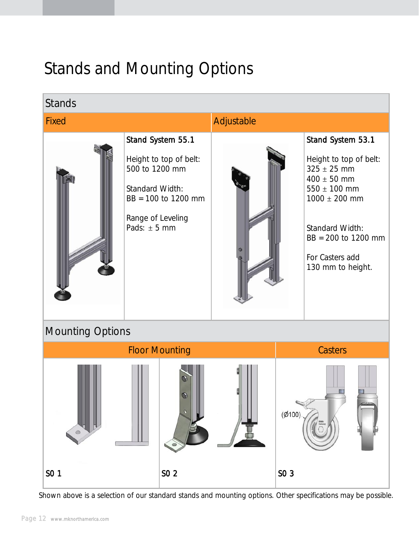## Stands and Mounting Options



Shown above is a selection of our standard stands and mounting options. Other specifications may be possible.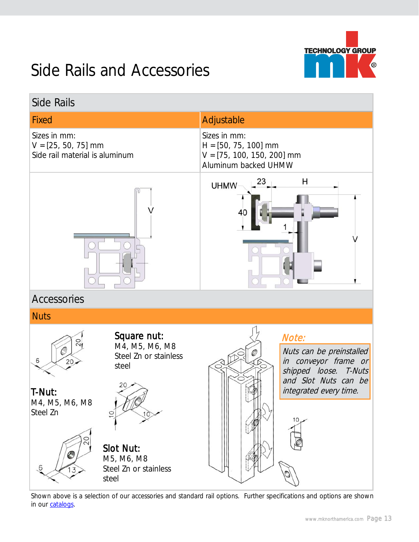

### Side Rails and Accessories

| Side Rails                                                                             |                                                                                                            |
|----------------------------------------------------------------------------------------|------------------------------------------------------------------------------------------------------------|
| <b>Fixed</b>                                                                           | Adjustable                                                                                                 |
| Sizes in mm:<br>$V = [25, 50, 75]$ mm<br>Side rail material is aluminum                | Sizes in mm:<br>$H = [50, 75, 100]$ mm<br>$V = [75, 100, 150, 200]$ mm<br>Aluminum backed UHMW             |
|                                                                                        | 23<br>н<br><b>UHMW</b><br>40                                                                               |
| Accessories                                                                            |                                                                                                            |
| <b>Nuts</b>                                                                            |                                                                                                            |
| Square nut:<br>20<br>M4, M5, M6, M8<br>Steel Zn or stainless<br>6<br>20<br>steel<br>20 | Note:<br>Nuts can be preinstalled<br>in conveyor frame or<br>shipped loose. T-Nuts<br>and Slot Nuts can be |
| T-Nut:<br>M4, M5, M6, M8<br>Steel Zn<br>Slot Nut:<br>M5, M6, M8                        | integrated every time.<br>10.                                                                              |
| Steel Zn or stainless<br>steel                                                         |                                                                                                            |

J, Shown above is a selection of our accessories and standard rail options. Further specifications and options are shown in our [catalogs.](http://www.mknorthamerica.com/downloads.html)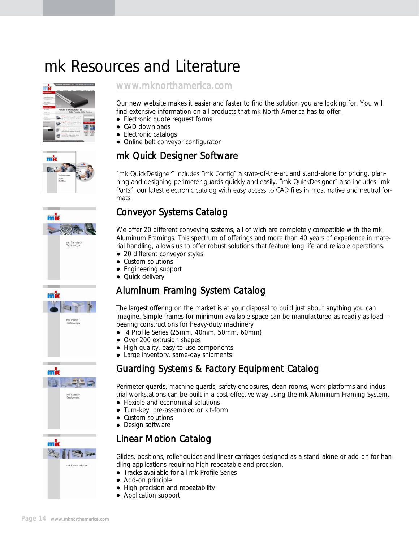### mk Resources and Literature





Our new website makes it easier and faster to find the solution you are looking for. You will find extensive information on all products that mk North America has to offer.

- Electronic quote request forms
- CAD downloads
- Electronic catalogs
- Online belt conveyor configurator

### mk Quick Designer Software

"mk QuickDesigner" includes "mk Config" a state-of-the-art and stand-alone for pricing, planning and designing perimeter guards quickly and easily. "mk QuickDesigner" also includes "mk Parts", our latest electronic catalog with easy access to CAD files in most native and neutral formats.

### Conveyor Systems Catalog

We offer 20 different conveying szstems, all of wich are completely compatible with the mk Aluminum Framings. This spectrum of offerings and more than 40 years of experience in material handling, allows us to offer robust solutions that feature long life and reliable operations.

- 20 different conveyor styles
- Custom solutions
- Engineering support
- Quick delivery

### Aluminum Framing System Catalog

The largest offering on the market is at your disposal to build just about anything you can imagine. Simple frames for minimum available space can be manufactured as readily as load bearing constructions for heavy-duty machinery

- 4 Profile Series (25mm, 40mm, 50mm, 60mm)
- Over 200 extrusion shapes
- High quality, easy-to-use components
- Large inventory, same-day shipments

### Guarding Systems & Factory Equipment Catalog

Perimeter guards, machine guards, safety enclosures, clean rooms, work platforms and industrial workstations can be built in a cost-effective way using the mk Aluminum Framing System.

- Flexible and economical solutions
- Turn-key, pre-assembled or kit-form
- Custom solutions
- Design software

### Linear Motion Catalog

Glides, positions, roller guides and linear carriages designed as a stand-alone or add-on for handling applications requiring high repeatable and precision.

- Tracks available for all mk Profile Series
- Add-on principle
- High precision and repeatability
- Application support







mk

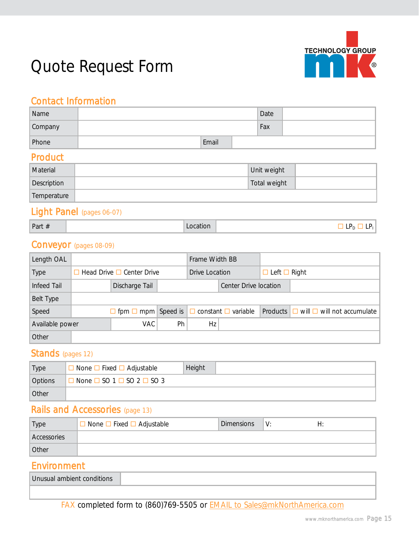

## Quote Request Form

### Contact Information

| Name    |       | Date |  |
|---------|-------|------|--|
| Company |       | Fax  |  |
| Phone   | Email |      |  |

#### Product

| Material    | Unit weight  |  |
|-------------|--------------|--|
| Description | Total weight |  |
| Temperature |              |  |

#### Light Panel (pages 06-07)

| Part # |  |
|--------|--|
|--------|--|

Part  $\#$   $\Box$  LP<sub>D</sub>  $\Box$  LP<sub>D</sub>  $\Box$  LP<sub>D</sub>  $\Box$  LP<sub>D</sub>

#### Conveyor (pages 08-09)

| Length OAL      |                                       |                                                                |    | Frame Width BB |                       |                          |                                                 |
|-----------------|---------------------------------------|----------------------------------------------------------------|----|----------------|-----------------------|--------------------------|-------------------------------------------------|
| Type            | $\Box$ Head Drive $\Box$ Center Drive |                                                                |    | Drive Location |                       | $\Box$ Left $\Box$ Right |                                                 |
| Infeed Tail     |                                       | Discharge Tail                                                 |    |                | Center Drive location |                          |                                                 |
| Belt Type       |                                       |                                                                |    |                |                       |                          |                                                 |
| Speed           |                                       | $\Box$ fpm $\Box$ mpm Speed is $\Box$ constant $\Box$ variable |    |                |                       |                          | Products $\Box$ will $\Box$ will not accumulate |
| Available power |                                       | VAC.                                                           | Ph | Hz             |                       |                          |                                                 |
| Other           |                                       |                                                                |    |                |                       |                          |                                                 |

#### Stands (pages 12)

| Type           | $\Box$ None $\Box$ Fixed $\Box$ Adjustable      | Height |  |
|----------------|-------------------------------------------------|--------|--|
| <b>Options</b> | $\Box$ None $\Box$ SO 1 $\Box$ SO 2 $\Box$ SO 3 |        |  |
| Other          |                                                 |        |  |

### Rails and Accessories (page 13)

| Type        | $\Box$ None $\Box$ Fixed $\Box$ Adjustable | <b>Dimensions</b> | V: | ⊣ |
|-------------|--------------------------------------------|-------------------|----|---|
| Accessories |                                            |                   |    |   |
| Other       |                                            |                   |    |   |

### Environment

| Unusual ambient conditions |  |
|----------------------------|--|
|                            |  |

FAX completed form to (860)769-5505 or [EMAIL to Sales@mkNorthAmerica.com](mailto:sales@mknorthamerica.com?subject=Back-Lit%20conveyor)